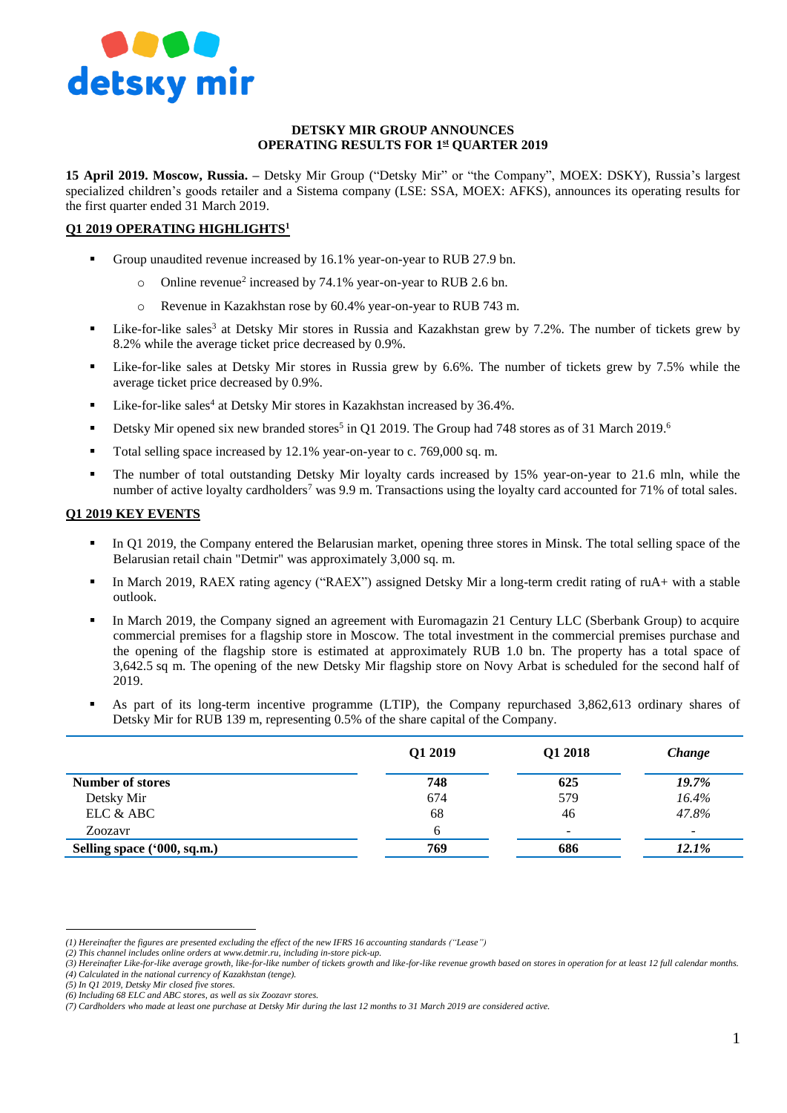

### **DETSKY MIR GROUP ANNOUNCES OPERATING RESULTS FOR 1 st QUARTER 2019**

**15 April 2019. Moscow, Russia. –** Detsky Mir Group ("Detsky Mir" or "the Company", MOEX: DSKY), Russia's largest specialized children's goods retailer and a Sistema company (LSE: SSA, MOEX: AFKS), announces its operating results for the first quarter ended 31 March 2019.

## **Q1 2019 OPERATING HIGHLIGHTS<sup>1</sup>**

- Group unaudited revenue increased by 16.1% year-on-year to RUB 27.9 bn.
	- o Online revenue<sup>2</sup> increased by 74.1% year-on-year to RUB 2.6 bn.
	- o Revenue in Kazakhstan rose by 60.4% year-on-year to RUB 743 m.
- Eike-for-like sales<sup>3</sup> at Detsky Mir stores in Russia and Kazakhstan grew by 7.2%. The number of tickets grew by 8.2% while the average ticket price decreased by 0.9%.
- Like-for-like sales at Detsky Mir stores in Russia grew by 6.6%. The number of tickets grew by 7.5% while the average ticket price decreased by 0.9%.
- Uike-for-like sales<sup>4</sup> at Detsky Mir stores in Kazakhstan increased by 36.4%.
- **Detsky Mir opened six new branded stores<sup>5</sup> in Q1 2019. The Group had 748 stores as of 31 March 2019.<sup>6</sup>**
- Total selling space increased by 12.1% year-on-year to c. 769,000 sq. m.
- The number of total outstanding Detsky Mir loyalty cards increased by 15% year-on-year to 21.6 mln, while the number of active loyalty cardholders<sup>7</sup> was 9.9 m. Transactions using the loyalty card accounted for 71% of total sales.

#### **Q1 2019 KEY EVENTS**

- In Q1 2019, the Company entered the Belarusian market, opening three stores in Minsk. The total selling space of the Belarusian retail chain "Detmir" was approximately 3,000 sq. m.
- In March 2019, RAEX rating agency ("RAEX") assigned Detsky Mir a long-term credit rating of ruA+ with a stable outlook.
- In March 2019, the Company signed an agreement with Euromagazin 21 Century LLC (Sberbank Group) to acquire commercial premises for a flagship store in Moscow. The total investment in the commercial premises purchase and the opening of the flagship store is estimated at approximately RUB 1.0 bn. The property has a total space of 3,642.5 sq m. The opening of the new Detsky Mir flagship store on Novy Arbat is scheduled for the second half of 2019.
- As part of its long-term incentive programme (LTIP), the Company repurchased 3,862,613 ordinary shares of Detsky Mir for RUB 139 m, representing 0.5% of the share capital of the Company.

|                             | Q1 2019 | Q1 2018                  | Change |
|-----------------------------|---------|--------------------------|--------|
| <b>Number of stores</b>     | 748     | 625                      | 19.7%  |
| Detsky Mir                  | 674     | 579                      | 16.4%  |
| ELC & ABC                   | 68      | 46                       | 47.8%  |
| Zoozavr                     | 6       | $\overline{\phantom{a}}$ | -      |
| Selling space ('000, sq.m.) | 769     | 686                      | 12.1%  |

 $\overline{a}$ 

*<sup>(1)</sup> Hereinafter the figures are presented excluding the effect of the new IFRS 16 accounting standards ("Lease")*

*<sup>(2)</sup> This channel includes online orders at [www.detmir.ru,](http://www.detmir.ru/) including in-store pick-up.*

*<sup>(3)</sup> Hereinafter Like-for-like average growth, like-for-like number of tickets growth and like-for-like revenue growth based on stores in operation for at least 12 full calendar months. (4) Calculated in the national currency of Kazakhstan (tenge).*

*<sup>(5)</sup> In Q1 2019, Detsky Mir closed five stores.*

*<sup>(6)</sup> Including 68 ELC and ABC stores, as well as six Zoozavr stores.* 

*<sup>(7)</sup> Cardholders who made at least one purchase at Detsky Mir during the last 12 months to 31 March 2019 are considered active.*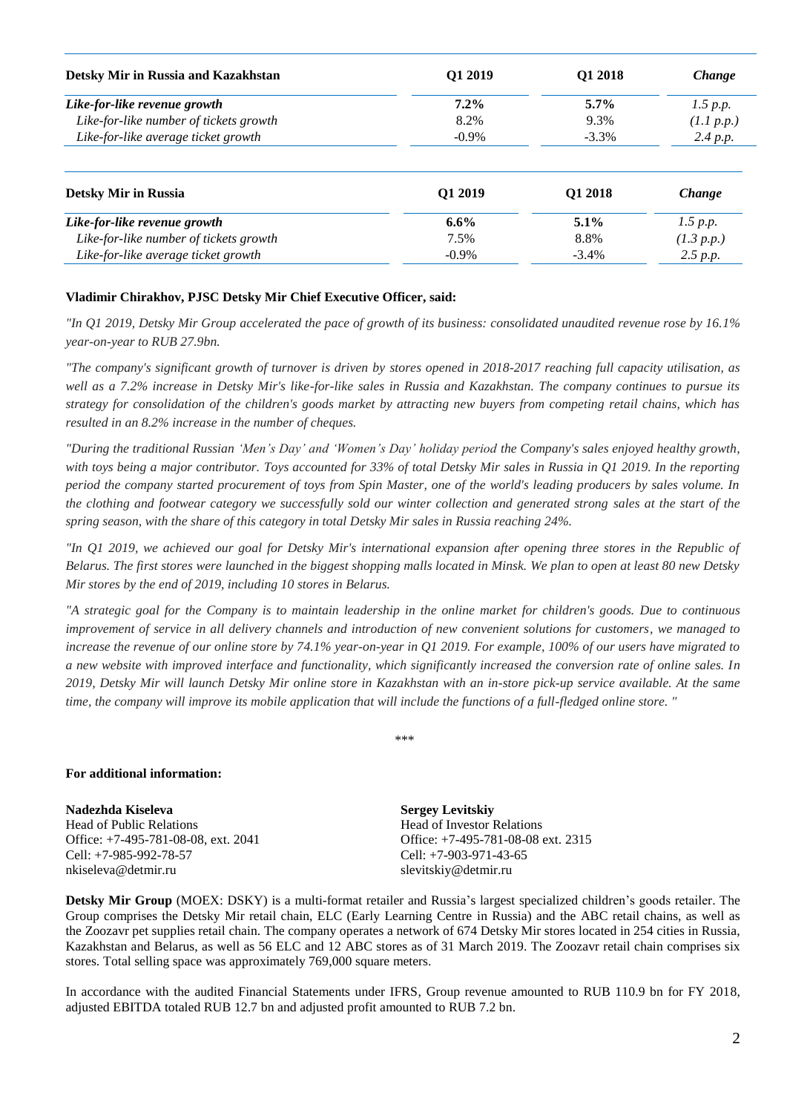| Detsky Mir in Russia and Kazakhstan    | O1 2019  | O1 2018  | <i>Change</i> |
|----------------------------------------|----------|----------|---------------|
| Like-for-like revenue growth           | $7.2\%$  | $5.7\%$  | 1.5 p.p.      |
| Like-for-like number of tickets growth | 8.2%     | 9.3%     | (1.1 p.p.)    |
| Like-for-like average ticket growth    | $-0.9\%$ | $-3.3\%$ | 2.4 p.p.      |

| <b>Detsky Mir in Russia</b>            | 01 2019  | O1 2018  | Change     |
|----------------------------------------|----------|----------|------------|
| Like-for-like revenue growth           | $6.6\%$  | $5.1\%$  | 1.5 p.p.   |
| Like-for-like number of tickets growth | 7.5%     | 8.8%     | (1.3 p.p.) |
| Like-for-like average ticket growth    | $-0.9\%$ | $-3.4\%$ | 2.5 p.p.   |

#### **Vladimir Chirakhov, PJSC Detsky Mir Chief Executive Officer, said:**

*"In Q1 2019, Detsky Mir Group accelerated the pace of growth of its business: consolidated unaudited revenue rose by 16.1% year-on-year to RUB 27.9bn.* 

*"The company's significant growth of turnover is driven by stores opened in 2018-2017 reaching full capacity utilisation, as well as a 7.2% increase in Detsky Mir's like-for-like sales in Russia and Kazakhstan. The company continues to pursue its strategy for consolidation of the children's goods market by attracting new buyers from competing retail chains, which has resulted in an 8.2% increase in the number of cheques.*

*"During the traditional Russian 'Men's Day' and 'Women's Day' holiday period the Company's sales enjoyed healthy growth, with toys being a major contributor. Toys accounted for 33% of total Detsky Mir sales in Russia in Q1 2019. In the reporting period the company started procurement of toys from Spin Master, one of the world's leading producers by sales volume. In the clothing and footwear category we successfully sold our winter collection and generated strong sales at the start of the spring season, with the share of this category in total Detsky Mir sales in Russia reaching 24%.* 

*"In Q1 2019, we achieved our goal for Detsky Mir's international expansion after opening three stores in the Republic of Belarus. The first stores were launched in the biggest shopping malls located in Minsk. We plan to open at least 80 new Detsky Mir stores by the end of 2019, including 10 stores in Belarus.* 

*"A strategic goal for the Company is to maintain leadership in the online market for children's goods. Due to continuous improvement of service in all delivery channels and introduction of new convenient solutions for customers, we managed to increase the revenue of our online store by 74.1% year-on-year in Q1 2019. For example, 100% of our users have migrated to a new website with improved interface and functionality, which significantly increased the conversion rate of online sales. In 2019, Detsky Mir will launch Detsky Mir online store in Kazakhstan with an in-store pick-up service available. At the same time, the company will improve its mobile application that will include the functions of a full-fledged online store. "*

\*\*\*

# **For additional information:**

**Nadezhda Kiseleva** Head of Public Relations Office: +7-495-781-08-08, ext. 2041 Cell: +7-985-992-78-57 nkiseleva@detmir.ru

**Sergey Levitskiy** Head of Investor Relations Office: +7-495-781-08-08 ext. 2315 Cell: +7-903-971-43-65 slevitskiy@detmir.ru

**Detsky Mir Group** (MOEX: DSKY) is a multi-format retailer and Russia's largest specialized children's goods retailer. The Group comprises the Detsky Mir retail chain, ELC (Early Learning Centre in Russia) and the ABC retail chains, as well as the Zoozavr pet supplies retail chain. The company operates a network of 674 Detsky Mir stores located in 254 cities in Russia, Kazakhstan and Belarus, as well as 56 ELC and 12 ABC stores as of 31 March 2019. The Zoozavr retail chain comprises six stores. Total selling space was approximately 769,000 square meters.

In accordance with the audited Financial Statements under IFRS, Group revenue amounted to RUB 110.9 bn for FY 2018, adjusted EBITDA totaled RUB 12.7 bn and adjusted profit amounted to RUB 7.2 bn.